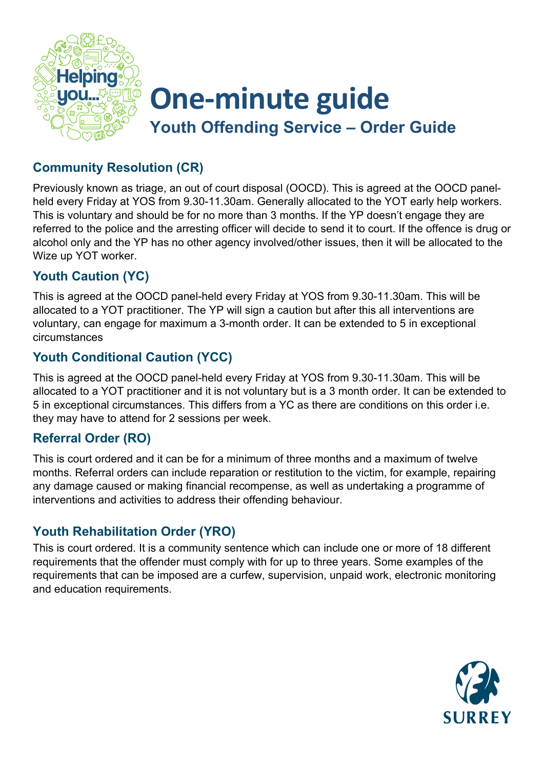

# **One-minute guide Youth Offending Service – Order Guide**

## **Community Resolution (CR)**

Previously known as triage, an out of court disposal (OOCD). This is agreed at the OOCD panelheld every Friday at YOS from 9.30-11.30am. Generally allocated to the YOT early help workers. This is voluntary and should be for no more than 3 months. If the YP doesn't engage they are referred to the police and the arresting officer will decide to send it to court. If the offence is drug or alcohol only and the YP has no other agency involved/other issues, then it will be allocated to the Wize up YOT worker.

## **Youth Caution (YC)**

This is agreed at the OOCD panel-held every Friday at YOS from 9.30-11.30am. This will be allocated to a YOT practitioner. The YP will sign a caution but after this all interventions are voluntary, can engage for maximum a 3-month order. It can be extended to 5 in exceptional circumstances

### **Youth Conditional Caution (YCC)**

This is agreed at the OOCD panel-held every Friday at YOS from 9.30-11.30am. This will be allocated to a YOT practitioner and it is not voluntary but is a 3 month order. It can be extended to 5 in exceptional circumstances. This differs from a YC as there are conditions on this order i.e. they may have to attend for 2 sessions per week.

#### **Referral Order (RO)**

This is court ordered and it can be for a minimum of three months and a maximum of twelve months. Referral orders can include reparation or restitution to the victim, for example, repairing any damage caused or making financial recompense, as well as undertaking a programme of interventions and activities to address their offending behaviour.

## **Youth Rehabilitation Order (YRO)**

This is court ordered. It is a community sentence which can include one or more of 18 different requirements that the offender must comply with for up to three years. Some examples of the requirements that can be imposed are a curfew, supervision, unpaid work, electronic monitoring and education requirements.